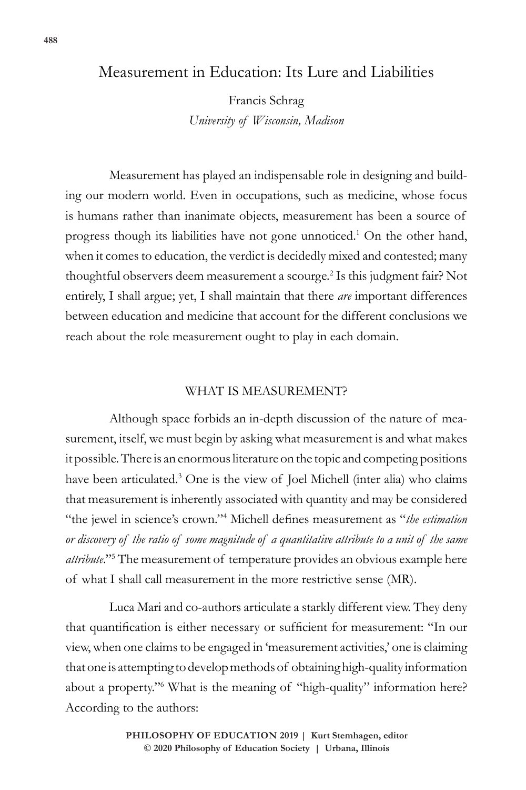## Measurement in Education: Its Lure and Liabilities

Francis Schrag *University of Wisconsin, Madison*

Measurement has played an indispensable role in designing and building our modern world. Even in occupations, such as medicine, whose focus is humans rather than inanimate objects, measurement has been a source of progress though its liabilities have not gone unnoticed.<sup>1</sup> On the other hand, when it comes to education, the verdict is decidedly mixed and contested; many thoughtful observers deem measurement a scourge.2 Is this judgment fair? Not entirely, I shall argue; yet, I shall maintain that there *are* important differences between education and medicine that account for the different conclusions we reach about the role measurement ought to play in each domain.

### WHAT IS MEASUREMENT?

Although space forbids an in-depth discussion of the nature of measurement, itself, we must begin by asking what measurement is and what makes it possible. There is an enormous literature on the topic and competing positions have been articulated.<sup>3</sup> One is the view of Joel Michell (inter alia) who claims that measurement is inherently associated with quantity and may be considered "the jewel in science's crown."4 Michell defines measurement as "*the estimation or discovery of the ratio of some magnitude of a quantitative attribute to a unit of the same attribute*."5 The measurement of temperature provides an obvious example here of what I shall call measurement in the more restrictive sense (MR).

Luca Mari and co-authors articulate a starkly different view. They deny that quantification is either necessary or sufficient for measurement: "In our view, when one claims to be engaged in 'measurement activities,' one is claiming that one is attempting to develop methods of obtaining high-quality information about a property."6 What is the meaning of "high-quality" information here? According to the authors: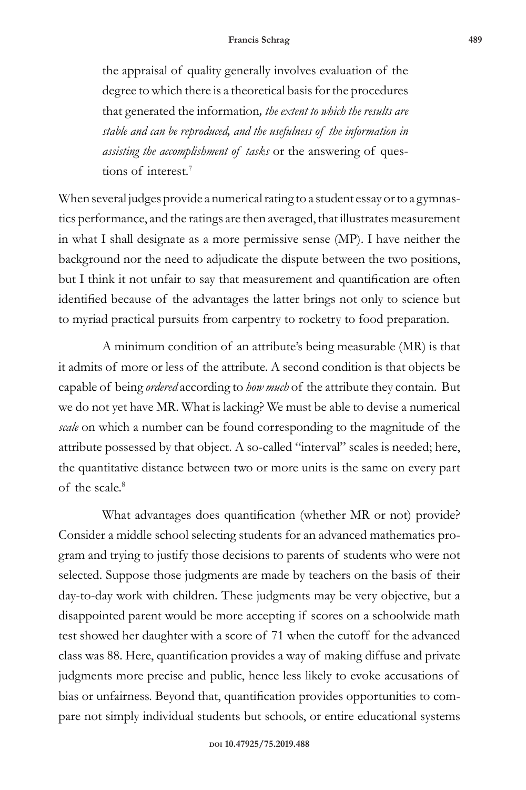the appraisal of quality generally involves evaluation of the degree to which there is a theoretical basis for the procedures that generated the information*, the extent to which the results are stable and can be reproduced, and the usefulness of the information in assisting the accomplishment of tasks* or the answering of questions of interest.7

When several judges provide a numerical rating to a student essay or to a gymnastics performance, and the ratings are then averaged, that illustrates measurement in what I shall designate as a more permissive sense (MP). I have neither the background nor the need to adjudicate the dispute between the two positions, but I think it not unfair to say that measurement and quantification are often identified because of the advantages the latter brings not only to science but to myriad practical pursuits from carpentry to rocketry to food preparation.

A minimum condition of an attribute's being measurable (MR) is that it admits of more or less of the attribute. A second condition is that objects be capable of being *ordered* according to *how much* of the attribute they contain. But we do not yet have MR. What is lacking? We must be able to devise a numerical *scale* on which a number can be found corresponding to the magnitude of the attribute possessed by that object. A so-called "interval" scales is needed; here, the quantitative distance between two or more units is the same on every part of the scale.8

What advantages does quantification (whether MR or not) provide? Consider a middle school selecting students for an advanced mathematics program and trying to justify those decisions to parents of students who were not selected. Suppose those judgments are made by teachers on the basis of their day-to-day work with children. These judgments may be very objective, but a disappointed parent would be more accepting if scores on a schoolwide math test showed her daughter with a score of 71 when the cutoff for the advanced class was 88. Here, quantification provides a way of making diffuse and private judgments more precise and public, hence less likely to evoke accusations of bias or unfairness. Beyond that, quantification provides opportunities to compare not simply individual students but schools, or entire educational systems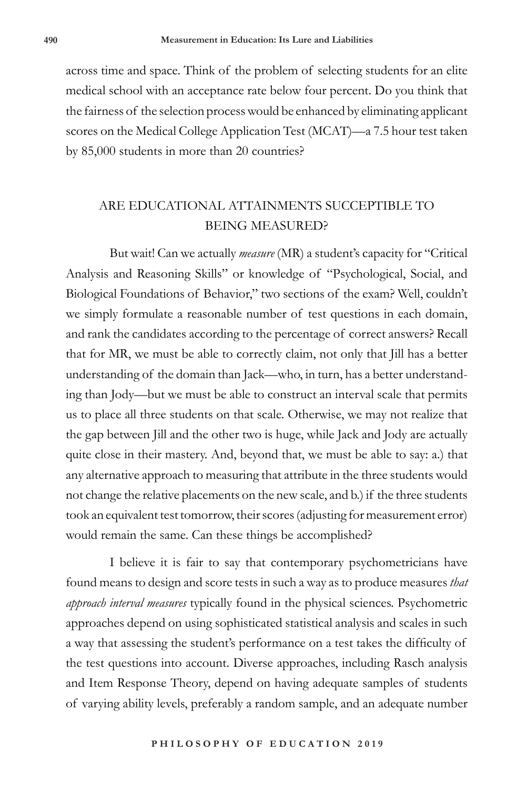across time and space. Think of the problem of selecting students for an elite medical school with an acceptance rate below four percent. Do you think that the fairness of the selection process would be enhanced by eliminating applicant scores on the Medical College Application Test (MCAT)—a 7.5 hour test taken by 85,000 students in more than 20 countries?

# ARE EDUCATIONAL ATTAINMENTS SUCCEPTIBLE TO BEING MEASURED?

But wait! Can we actually *measure* (MR) a student's capacity for "Critical Analysis and Reasoning Skills" or knowledge of "Psychological, Social, and Biological Foundations of Behavior," two sections of the exam? Well, couldn't we simply formulate a reasonable number of test questions in each domain, and rank the candidates according to the percentage of correct answers? Recall that for MR, we must be able to correctly claim, not only that Jill has a better understanding of the domain than Jack—who, in turn, has a better understanding than Jody—but we must be able to construct an interval scale that permits us to place all three students on that scale. Otherwise, we may not realize that the gap between Jill and the other two is huge, while Jack and Jody are actually quite close in their mastery. And, beyond that, we must be able to say: a.) that any alternative approach to measuring that attribute in the three students would not change the relative placements on the new scale, and b.) if the three students took an equivalent test tomorrow, their scores (adjusting for measurement error) would remain the same. Can these things be accomplished?

I believe it is fair to say that contemporary psychometricians have found means to design and score tests in such a way as to produce measures *that approach interval measures* typically found in the physical sciences. Psychometric approaches depend on using sophisticated statistical analysis and scales in such a way that assessing the student's performance on a test takes the difficulty of the test questions into account. Diverse approaches, including Rasch analysis and Item Response Theory, depend on having adequate samples of students of varying ability levels, preferably a random sample, and an adequate number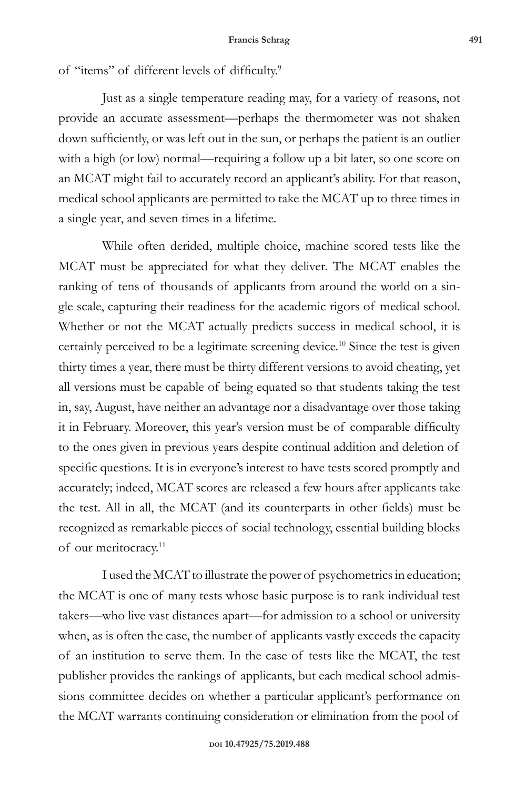of "items" of different levels of difficulty.<sup>9</sup>

Just as a single temperature reading may, for a variety of reasons, not provide an accurate assessment—perhaps the thermometer was not shaken down sufficiently, or was left out in the sun, or perhaps the patient is an outlier with a high (or low) normal—requiring a follow up a bit later, so one score on an MCAT might fail to accurately record an applicant's ability. For that reason, medical school applicants are permitted to take the MCAT up to three times in a single year, and seven times in a lifetime.

While often derided, multiple choice, machine scored tests like the MCAT must be appreciated for what they deliver. The MCAT enables the ranking of tens of thousands of applicants from around the world on a single scale, capturing their readiness for the academic rigors of medical school. Whether or not the MCAT actually predicts success in medical school, it is certainly perceived to be a legitimate screening device.10 Since the test is given thirty times a year, there must be thirty different versions to avoid cheating, yet all versions must be capable of being equated so that students taking the test in, say, August, have neither an advantage nor a disadvantage over those taking it in February. Moreover, this year's version must be of comparable difficulty to the ones given in previous years despite continual addition and deletion of specific questions. It is in everyone's interest to have tests scored promptly and accurately; indeed, MCAT scores are released a few hours after applicants take the test. All in all, the MCAT (and its counterparts in other fields) must be recognized as remarkable pieces of social technology, essential building blocks of our meritocracy.<sup>11</sup>

I used the MCAT to illustrate the power of psychometrics in education; the MCAT is one of many tests whose basic purpose is to rank individual test takers—who live vast distances apart—for admission to a school or university when, as is often the case, the number of applicants vastly exceeds the capacity of an institution to serve them. In the case of tests like the MCAT, the test publisher provides the rankings of applicants, but each medical school admissions committee decides on whether a particular applicant's performance on the MCAT warrants continuing consideration or elimination from the pool of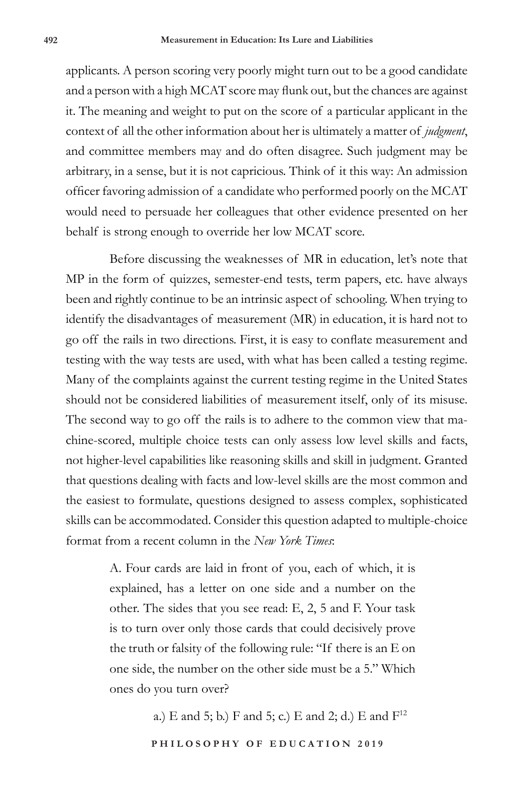applicants. A person scoring very poorly might turn out to be a good candidate and a person with a high MCAT score may flunk out, but the chances are against it. The meaning and weight to put on the score of a particular applicant in the context of all the other information about her is ultimately a matter of *judgment*, and committee members may and do often disagree. Such judgment may be arbitrary, in a sense, but it is not capricious. Think of it this way: An admission officer favoring admission of a candidate who performed poorly on the MCAT would need to persuade her colleagues that other evidence presented on her behalf is strong enough to override her low MCAT score.

Before discussing the weaknesses of MR in education, let's note that MP in the form of quizzes, semester-end tests, term papers, etc. have always been and rightly continue to be an intrinsic aspect of schooling. When trying to identify the disadvantages of measurement (MR) in education, it is hard not to go off the rails in two directions. First, it is easy to conflate measurement and testing with the way tests are used, with what has been called a testing regime. Many of the complaints against the current testing regime in the United States should not be considered liabilities of measurement itself, only of its misuse. The second way to go off the rails is to adhere to the common view that machine-scored, multiple choice tests can only assess low level skills and facts, not higher-level capabilities like reasoning skills and skill in judgment. Granted that questions dealing with facts and low-level skills are the most common and the easiest to formulate, questions designed to assess complex, sophisticated skills can be accommodated. Consider this question adapted to multiple-choice format from a recent column in the *New York Times*:

> A. Four cards are laid in front of you, each of which, it is explained, has a letter on one side and a number on the other. The sides that you see read: E, 2, 5 and F. Your task is to turn over only those cards that could decisively prove the truth or falsity of the following rule: "If there is an E on one side, the number on the other side must be a 5." Which ones do you turn over?

> > a.) E and 5; b.) F and 5; c.) E and 2; d.) E and  $F^{12}$

PHILOSOPHY OF EDUCATION 2019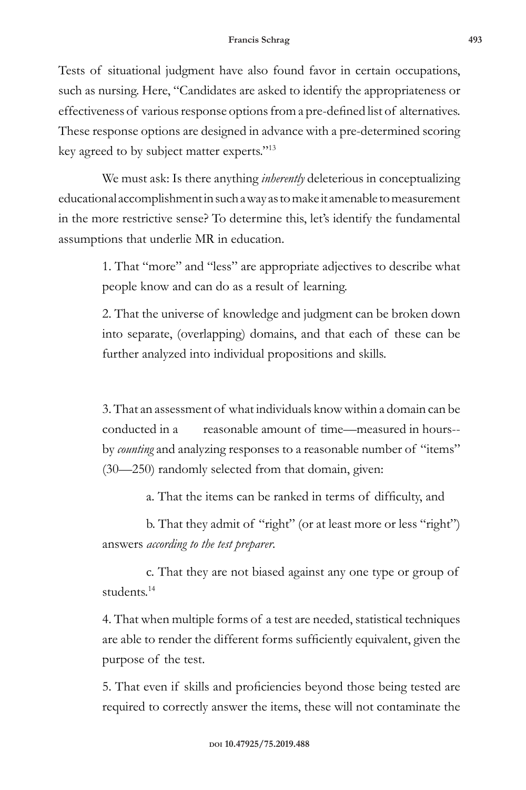Tests of situational judgment have also found favor in certain occupations, such as nursing. Here, "Candidates are asked to identify the appropriateness or effectiveness of various response options from a pre-defined list of alternatives. These response options are designed in advance with a pre-determined scoring key agreed to by subject matter experts."<sup>13</sup>

We must ask: Is there anything *inherently* deleterious in conceptualizing educational accomplishment in such a way as to make it amenable to measurement in the more restrictive sense? To determine this, let's identify the fundamental assumptions that underlie MR in education.

> 1. That "more" and "less" are appropriate adjectives to describe what people know and can do as a result of learning.

> 2. That the universe of knowledge and judgment can be broken down into separate, (overlapping) domains, and that each of these can be further analyzed into individual propositions and skills.

> 3. That an assessment of what individuals know within a domain can be conducted in a reasonable amount of time—measured in hours- by *counting* and analyzing responses to a reasonable number of "items" (30—250) randomly selected from that domain, given:

> > a. That the items can be ranked in terms of difficulty, and

b. That they admit of "right" (or at least more or less "right") answers *according to the test preparer*.

c. That they are not biased against any one type or group of students.<sup>14</sup>

4. That when multiple forms of a test are needed, statistical techniques are able to render the different forms sufficiently equivalent, given the purpose of the test.

5. That even if skills and proficiencies beyond those being tested are required to correctly answer the items, these will not contaminate the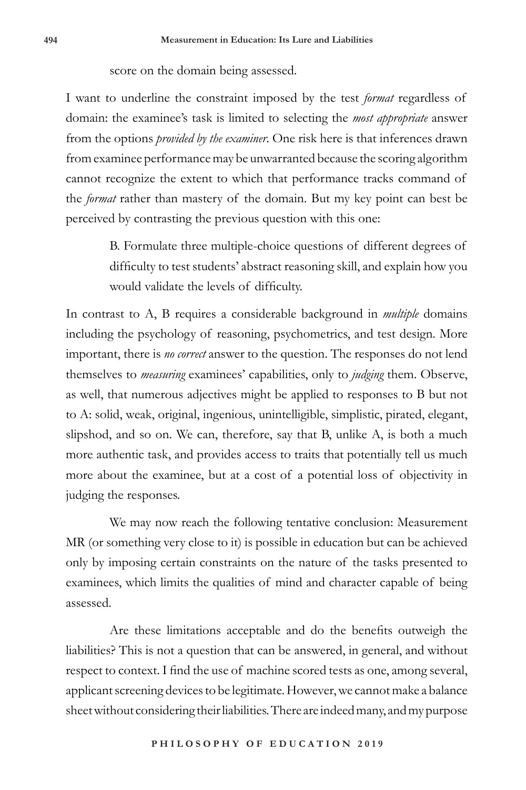#### score on the domain being assessed.

I want to underline the constraint imposed by the test *format* regardless of domain: the examinee's task is limited to selecting the *most appropriate* answer from the options *provided by the examiner*. One risk here is that inferences drawn from examinee performance may be unwarranted because the scoring algorithm cannot recognize the extent to which that performance tracks command of the *format* rather than mastery of the domain. But my key point can best be perceived by contrasting the previous question with this one:

> B. Formulate three multiple-choice questions of different degrees of difficulty to test students' abstract reasoning skill, and explain how you would validate the levels of difficulty.

In contrast to A, B requires a considerable background in *multiple* domains including the psychology of reasoning, psychometrics, and test design. More important, there is *no correct* answer to the question. The responses do not lend themselves to *measuring* examinees' capabilities, only to *judging* them. Observe, as well, that numerous adjectives might be applied to responses to B but not to A: solid, weak, original, ingenious, unintelligible, simplistic, pirated, elegant, slipshod, and so on. We can, therefore, say that B, unlike A, is both a much more authentic task, and provides access to traits that potentially tell us much more about the examinee, but at a cost of a potential loss of objectivity in judging the responses.

We may now reach the following tentative conclusion: Measurement MR (or something very close to it) is possible in education but can be achieved only by imposing certain constraints on the nature of the tasks presented to examinees, which limits the qualities of mind and character capable of being assessed.

Are these limitations acceptable and do the benefits outweigh the liabilities? This is not a question that can be answered, in general, and without respect to context. I find the use of machine scored tests as one, among several, applicant screening devices to be legitimate. However, we cannot make a balance sheet without considering their liabilities. There are indeed many, and my purpose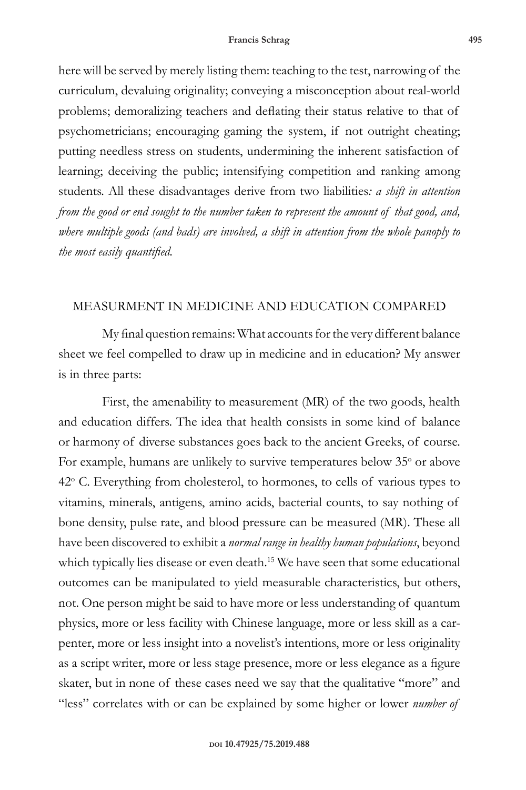here will be served by merely listing them: teaching to the test, narrowing of the curriculum, devaluing originality; conveying a misconception about real-world problems; demoralizing teachers and deflating their status relative to that of psychometricians; encouraging gaming the system, if not outright cheating; putting needless stress on students, undermining the inherent satisfaction of learning; deceiving the public; intensifying competition and ranking among students. All these disadvantages derive from two liabilities*: a shift in attention from the good or end sought to the number taken to represent the amount of that good, and, where multiple goods (and bads) are involved, a shift in attention from the whole panoply to the most easily quantified.*

### MEASURMENT IN MEDICINE AND EDUCATION COMPARED

My final question remains: What accounts for the very different balance sheet we feel compelled to draw up in medicine and in education? My answer is in three parts:

First, the amenability to measurement (MR) of the two goods, health and education differs. The idea that health consists in some kind of balance or harmony of diverse substances goes back to the ancient Greeks, of course. For example, humans are unlikely to survive temperatures below 35° or above 42° C. Everything from cholesterol, to hormones, to cells of various types to vitamins, minerals, antigens, amino acids, bacterial counts, to say nothing of bone density, pulse rate, and blood pressure can be measured (MR). These all have been discovered to exhibit a *normal range in healthy human populations*, beyond which typically lies disease or even death.<sup>15</sup> We have seen that some educational outcomes can be manipulated to yield measurable characteristics, but others, not. One person might be said to have more or less understanding of quantum physics, more or less facility with Chinese language, more or less skill as a carpenter, more or less insight into a novelist's intentions, more or less originality as a script writer, more or less stage presence, more or less elegance as a figure skater, but in none of these cases need we say that the qualitative "more" and "less" correlates with or can be explained by some higher or lower *number of*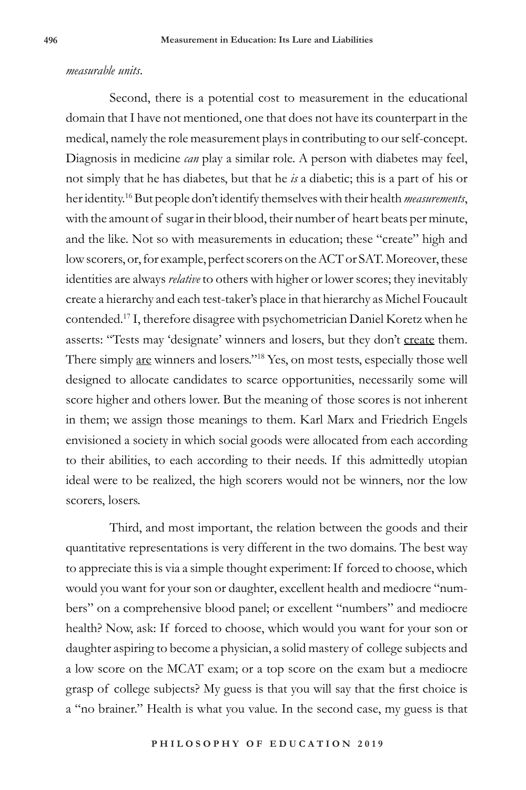#### *measurable units*.

Second, there is a potential cost to measurement in the educational domain that I have not mentioned, one that does not have its counterpart in the medical, namely the role measurement plays in contributing to our self-concept. Diagnosis in medicine *can* play a similar role. A person with diabetes may feel, not simply that he has diabetes, but that he *is* a diabetic; this is a part of his or her identity.16 But people don't identify themselves with their health *measurements*, with the amount of sugar in their blood, their number of heart beats per minute, and the like. Not so with measurements in education; these "create" high and low scorers, or, for example, perfect scorers on the ACT or SAT. Moreover, these identities are always *relative* to others with higher or lower scores; they inevitably create a hierarchy and each test-taker's place in that hierarchy as Michel Foucault contended.17 I, therefore disagree with psychometrician Daniel Koretz when he asserts: "Tests may 'designate' winners and losers, but they don't create them. There simply are winners and losers."<sup>18</sup> Yes, on most tests, especially those well designed to allocate candidates to scarce opportunities, necessarily some will score higher and others lower. But the meaning of those scores is not inherent in them; we assign those meanings to them. Karl Marx and Friedrich Engels envisioned a society in which social goods were allocated from each according to their abilities, to each according to their needs. If this admittedly utopian ideal were to be realized, the high scorers would not be winners, nor the low scorers, losers.

Third, and most important, the relation between the goods and their quantitative representations is very different in the two domains. The best way to appreciate this is via a simple thought experiment: If forced to choose, which would you want for your son or daughter, excellent health and mediocre "numbers" on a comprehensive blood panel; or excellent "numbers" and mediocre health? Now, ask: If forced to choose, which would you want for your son or daughter aspiring to become a physician, a solid mastery of college subjects and a low score on the MCAT exam; or a top score on the exam but a mediocre grasp of college subjects? My guess is that you will say that the first choice is a "no brainer." Health is what you value. In the second case, my guess is that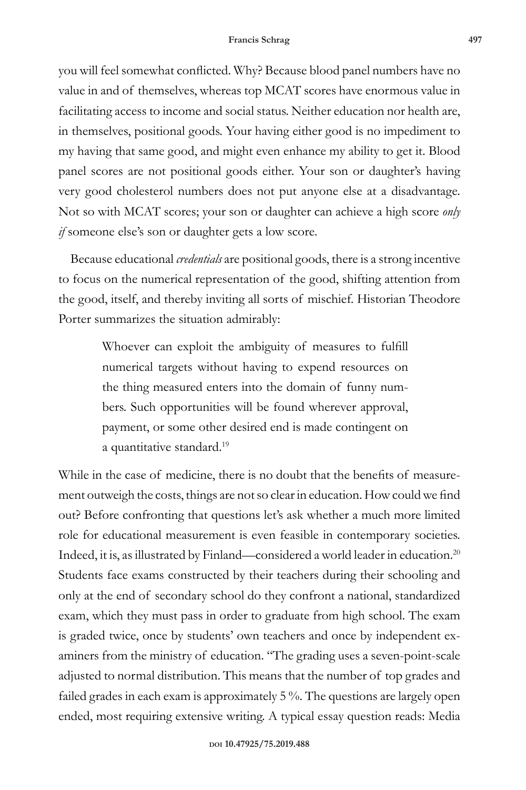you will feel somewhat conflicted. Why? Because blood panel numbers have no value in and of themselves, whereas top MCAT scores have enormous value in facilitating access to income and social status. Neither education nor health are, in themselves, positional goods. Your having either good is no impediment to my having that same good, and might even enhance my ability to get it. Blood panel scores are not positional goods either. Your son or daughter's having very good cholesterol numbers does not put anyone else at a disadvantage. Not so with MCAT scores; your son or daughter can achieve a high score *only if* someone else's son or daughter gets a low score.

 Because educational *credentials* are positional goods, there is a strong incentive to focus on the numerical representation of the good, shifting attention from the good, itself, and thereby inviting all sorts of mischief. Historian Theodore Porter summarizes the situation admirably:

> Whoever can exploit the ambiguity of measures to fulfill numerical targets without having to expend resources on the thing measured enters into the domain of funny numbers. Such opportunities will be found wherever approval, payment, or some other desired end is made contingent on a quantitative standard.<sup>19</sup>

While in the case of medicine, there is no doubt that the benefits of measurement outweigh the costs, things are not so clear in education. How could we find out? Before confronting that questions let's ask whether a much more limited role for educational measurement is even feasible in contemporary societies. Indeed, it is, as illustrated by Finland—considered a world leader in education.20 Students face exams constructed by their teachers during their schooling and only at the end of secondary school do they confront a national, standardized exam, which they must pass in order to graduate from high school. The exam is graded twice, once by students' own teachers and once by independent examiners from the ministry of education. "The grading uses a seven-point-scale adjusted to normal distribution. This means that the number of top grades and failed grades in each exam is approximately 5 %. The questions are largely open ended, most requiring extensive writing. A typical essay question reads: Media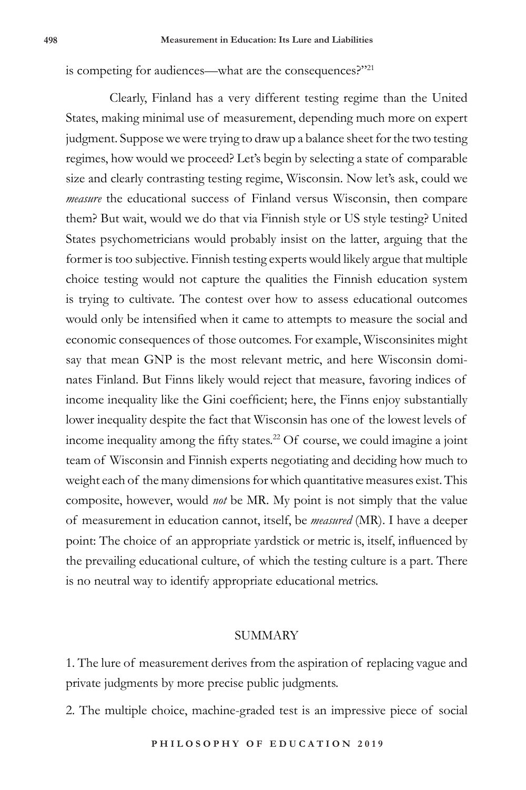is competing for audiences—what are the consequences?"<sup>21</sup>

Clearly, Finland has a very different testing regime than the United States, making minimal use of measurement, depending much more on expert judgment. Suppose we were trying to draw up a balance sheet for the two testing regimes, how would we proceed? Let's begin by selecting a state of comparable size and clearly contrasting testing regime, Wisconsin. Now let's ask, could we *measure* the educational success of Finland versus Wisconsin, then compare them? But wait, would we do that via Finnish style or US style testing? United States psychometricians would probably insist on the latter, arguing that the former is too subjective. Finnish testing experts would likely argue that multiple choice testing would not capture the qualities the Finnish education system is trying to cultivate. The contest over how to assess educational outcomes would only be intensified when it came to attempts to measure the social and economic consequences of those outcomes. For example, Wisconsinites might say that mean GNP is the most relevant metric, and here Wisconsin dominates Finland. But Finns likely would reject that measure, favoring indices of income inequality like the Gini coefficient; here, the Finns enjoy substantially lower inequality despite the fact that Wisconsin has one of the lowest levels of income inequality among the fifty states.<sup>22</sup> Of course, we could imagine a joint team of Wisconsin and Finnish experts negotiating and deciding how much to weight each of the many dimensions for which quantitative measures exist. This composite, however, would *not* be MR. My point is not simply that the value of measurement in education cannot, itself, be *measured* (MR). I have a deeper point: The choice of an appropriate yardstick or metric is, itself, influenced by the prevailing educational culture, of which the testing culture is a part. There is no neutral way to identify appropriate educational metrics.

#### SUMMARY

1. The lure of measurement derives from the aspiration of replacing vague and private judgments by more precise public judgments.

2. The multiple choice, machine-graded test is an impressive piece of social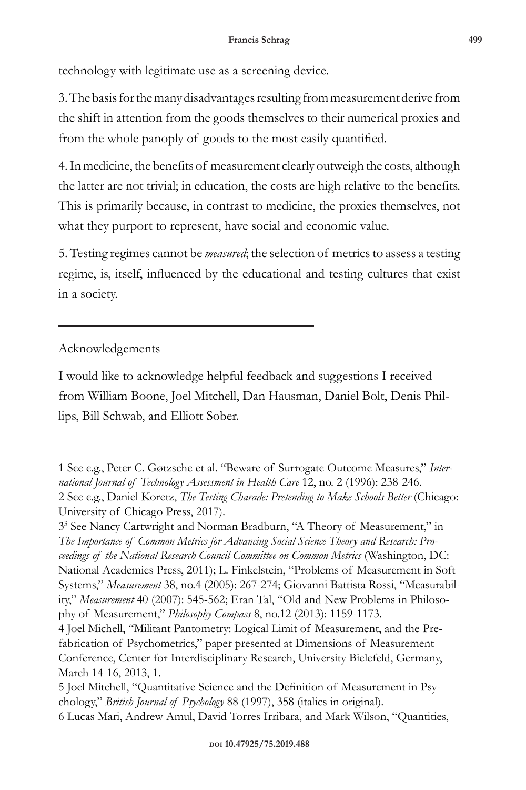technology with legitimate use as a screening device.

3. The basis for the many disadvantages resulting from measurement derive from the shift in attention from the goods themselves to their numerical proxies and from the whole panoply of goods to the most easily quantified.

4. In medicine, the benefits of measurement clearly outweigh the costs, although the latter are not trivial; in education, the costs are high relative to the benefits. This is primarily because, in contrast to medicine, the proxies themselves, not what they purport to represent, have social and economic value.

5. Testing regimes cannot be *measured*; the selection of metrics to assess a testing regime, is, itself, influenced by the educational and testing cultures that exist in a society.

## Acknowledgements

I would like to acknowledge helpful feedback and suggestions I received from William Boone, Joel Mitchell, Dan Hausman, Daniel Bolt, Denis Phillips, Bill Schwab, and Elliott Sober.

<sup>1</sup> See e.g., Peter C. Gøtzsche et al. "Beware of Surrogate Outcome Measures," *International Journal of Technology Assessment in Health Care* 12, no. 2 (1996): 238-246. 2 See e.g., Daniel Koretz, *The Testing Charade: Pretending to Make Schools Better* (Chicago: University of Chicago Press, 2017).

<sup>33</sup> See Nancy Cartwright and Norman Bradburn, "A Theory of Measurement," in *The Importance of Common Metrics for Advancing Social Science Theory and Research: Proceedings of the National Research Council Committee on Common Metrics* (Washington, DC: National Academies Press, 2011); L. Finkelstein, "Problems of Measurement in Soft Systems," *Measurement* 38, no.4 (2005): 267-274; Giovanni Battista Rossi, "Measurability," *Measurement* 40 (2007): 545-562; Eran Tal, "Old and New Problems in Philosophy of Measurement," *Philosophy Compass* 8, no.12 (2013): 1159-1173.

<sup>4</sup> Joel Michell, "Militant Pantometry: Logical Limit of Measurement, and the Prefabrication of Psychometrics," paper presented at Dimensions of Measurement Conference, Center for Interdisciplinary Research, University Bielefeld, Germany, March 14-16, 2013, 1.

<sup>5</sup> Joel Mitchell, "Quantitative Science and the Definition of Measurement in Psychology," *British Journal of Psychology* 88 (1997), 358 (italics in original). 6 Lucas Mari, Andrew Amul, David Torres Irribara, and Mark Wilson, "Quantities,